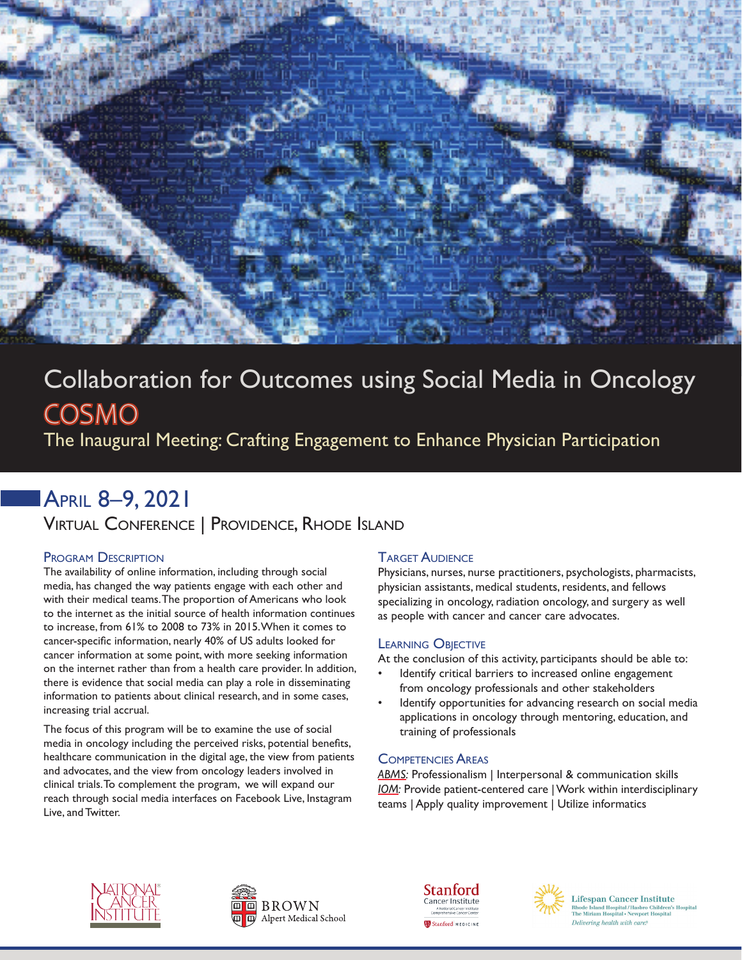

# Collaboration for Outcomes using Social Media in Oncology COSMO

The Inaugural Meeting: Crafting Engagement to Enhance Physician Participation

# April 8–9, 2021

Virtual Conference | Providence, Rhode Island

### Program Description

The availability of online information, including through social media, has changed the way patients engage with each other and with their medical teams. The proportion of Americans who look to the internet as the initial source of health information continues to increase, from 61% to 2008 to 73% in 2015. When it comes to cancer-specific information, nearly 40% of US adults looked for cancer information at some point, with more seeking information on the internet rather than from a health care provider. In addition, there is evidence that social media can play a role in disseminating information to patients about clinical research, and in some cases, increasing trial accrual.

The focus of this program will be to examine the use of social media in oncology including the perceived risks, potential benefits, healthcare communication in the digital age, the view from patients and advocates, and the view from oncology leaders involved in clinical trials. To complement the program, we will expand our reach through social media interfaces on Facebook Live, Instagram Live, and Twitter.

### **TARGET AUDIENCE**

Physicians, nurses, nurse practitioners, psychologists, pharmacists, physician assistants, medical students, residents, and fellows specializing in oncology, radiation oncology, and surgery as well as people with cancer and cancer care advocates.

#### Learning Objective

At the conclusion of this activity, participants should be able to:

- Identify critical barriers to increased online engagement from oncology professionals and other stakeholders
- Identify opportunities for advancing research on social media applications in oncology through mentoring, education, and training of professionals

### Competencies Areas

*ABMS:* Professionalism | Interpersonal & communication skills *IOM:* Provide patient-centered care | Work within interdisciplinary teams | Apply quality improvement | Utilize informatics











**Lifespan Cancer Institute** Rhode Island Hospital/Hasbro Children<br>The Miriam Hospital • Newport Hospital Delivering health with care.®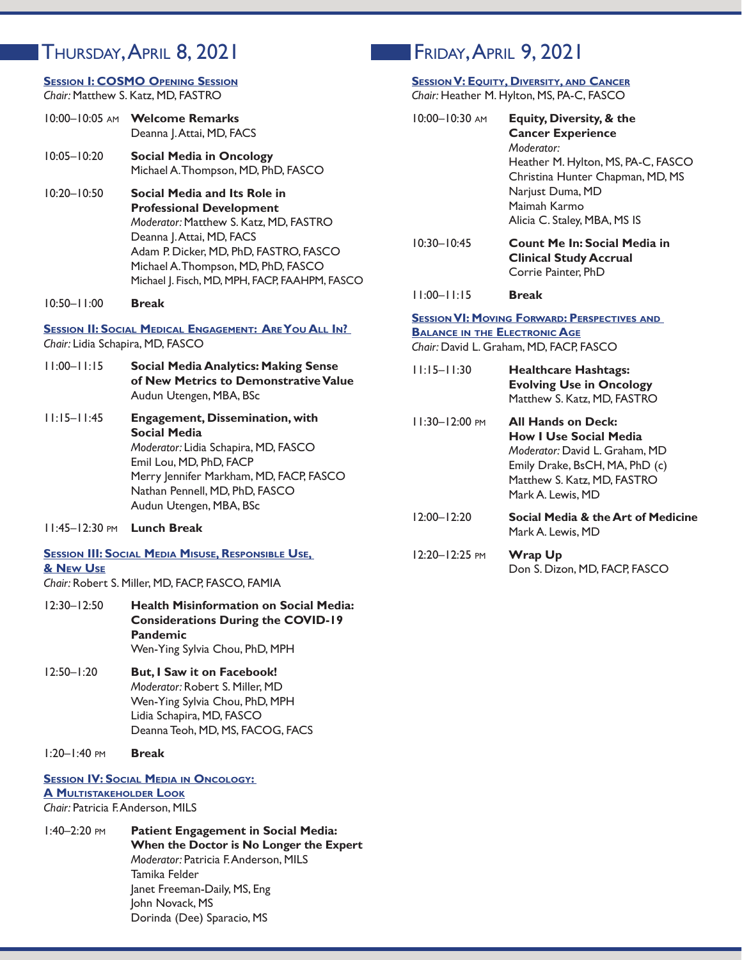### Thursday, April 8, 2021 Friday, April 9, 2021

#### **Session I: COSMO Opening Session** *Chair:* Matthew S. Katz, MD, FASTRO

| 10:00-10:05 AM Welcome Remarks |
|--------------------------------|
| Deanna J. Attai, MD, FACS      |

- 10:05–10:20 **Social Media in Oncology** Michael A. Thompson, MD, PhD, FASCO
- 10:20–10:50 **Social Media and Its Role in Professional Development** *Moderator:* Matthew S. Katz, MD, FASTRO Deanna | . Attai, MD, FACS Adam P. Dicker, MD, PhD, FASTRO, FASCO Michael A. Thompson, MD, PhD, FASCO Michael J. Fisch, MD, MPH, FACP, FAAHPM, FASCO
- 10:50–11:00 **Break**

#### **Session II: Social Medical Engagement: Are You All In?**  *Chair:* Lidia Schapira, MD, FASCO

- 11:00–11:15 **Social Media Analytics: Making Sense of New Metrics to Demonstrative Value** Audun Utengen, MBA, BSc
- 11:15–11:45 **Engagement, Dissemination, with Social Media** *Moderator:* Lidia Schapira, MD, FASCO Emil Lou, MD, PhD, FACP Merry Jennifer Markham, MD, FACP, FASCO Nathan Pennell, MD, PhD, FASCO Audun Utengen, MBA, BSc
- 11:45–12:30 pm **Lunch Break**

#### **Session III: Social Media Misuse, Responsible Use, & New Use**

*Chair:* Robert S. Miller, MD, FACP, FASCO, FAMIA

- 12:30–12:50 **Health Misinformation on Social Media: Considerations During the COVID-19 Pandemic** Wen-Ying Sylvia Chou, PhD, MPH
- 12:50–1:20 **But, I Saw it on Facebook!** *Moderator:* Robert S. Miller, MD Wen-Ying Sylvia Chou, PhD, MPH Lidia Schapira, MD, FASCO Deanna Teoh, MD, MS, FACOG, FACS
- 1:20–1:40 pm **Break**

#### **Session IV: Social Media in Oncology: A Multistakeholder Look** *Chair:* Patricia F. Anderson, MILS

1:40–2:20 pm **Patient Engagement in Social Media: When the Doctor is No Longer the Expert** *Moderator:* Patricia F. Anderson, MILS Tamika Felder Janet Freeman-Daily, MS, Eng John Novack, MS Dorinda (Dee) Sparacio, MS

#### **Session V: Equity, Diversity, and Cancer**  $MC$  **DA**  $C$  **EASCO**

|                                      | Chair: Heather M. Hylton, M.S. PA-C, FASCO                                                                                                                                                                                  |
|--------------------------------------|-----------------------------------------------------------------------------------------------------------------------------------------------------------------------------------------------------------------------------|
| $10:00 - 10:30$ AM                   | <b>Equity, Diversity, &amp; the</b><br><b>Cancer Experience</b><br>Moderator:<br>Heather M. Hylton, MS, PA-C, FASCO<br>Christina Hunter Chapman, MD, MS<br>Narjust Duma, MD<br>Maimah Karmo<br>Alicia C. Staley, MBA, MS IS |
| $10:30 - 10:45$                      | <b>Count Me In: Social Media in</b><br><b>Clinical Study Accrual</b><br>Corrie Painter, PhD                                                                                                                                 |
| $11:00 - 11:15$                      | <b>Break</b>                                                                                                                                                                                                                |
| <b>BALANCE IN THE ELECTRONIC AGE</b> | <b>SESSION VI: MOVING FORWARD: PERSPECTIVES AND</b><br>Chair: David L. Graham, MD, FACP, FASCO                                                                                                                              |
| $11:15 - 11:30$                      | <b>Healthcare Hashtags:</b><br><b>Evolving Use in Oncology</b><br>Matthew S. Katz, MD, FASTRO                                                                                                                               |
| 11:30-12:00 PM                       | <b>All Hands on Deck:</b><br><b>How I Use Social Media</b><br>Moderator: David L. Graham, MD<br>Emily Drake, BsCH, MA, PhD (c)<br>Matthew S. Katz, MD, FASTRO<br>Mark A. Lewis, MD                                          |
| $12:00 - 12:20$                      | Social Media & the Art of Medicine<br>Mark A. Lewis, MD                                                                                                                                                                     |
|                                      |                                                                                                                                                                                                                             |

 12:20–12:25 pm **Wrap Up** Don S. Dizon, MD, FACP, FASCO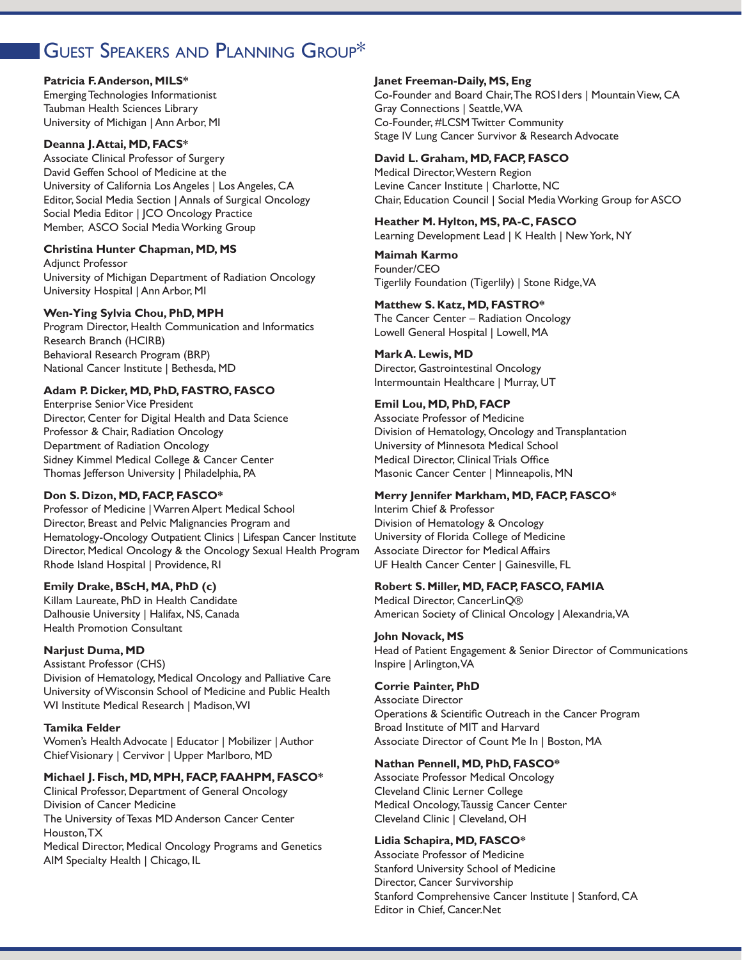### GUEST SPEAKERS AND PLANNING GROUP\*

#### **Patricia F. Anderson, MILS\***

Emerging Technologies Informationist Taubman Health Sciences Library University of Michigan | Ann Arbor, MI

#### **Deanna J. Attai, MD, FACS\***

Associate Clinical Professor of Surgery David Geffen School of Medicine at the University of California Los Angeles | Los Angeles, CA Editor, Social Media Section | Annals of Surgical Oncology Social Media Editor | JCO Oncology Practice Member, ASCO Social Media Working Group

#### **Christina Hunter Chapman, MD, MS**

Adjunct Professor University of Michigan Department of Radiation Oncology University Hospital | Ann Arbor, MI

#### **Wen-Ying Sylvia Chou, PhD, MPH**

Program Director, Health Communication and Informatics Research Branch (HCIRB) Behavioral Research Program (BRP) National Cancer Institute | Bethesda, MD

#### **Adam P. Dicker, MD, PhD, FASTRO, FASCO**

Enterprise Senior Vice President Director, Center for Digital Health and Data Science Professor & Chair, Radiation Oncology Department of Radiation Oncology Sidney Kimmel Medical College & Cancer Center Thomas Jefferson University | Philadelphia, PA

#### **Don S. Dizon, MD, FACP, FASCO\***

Professor of Medicine | Warren Alpert Medical School Director, Breast and Pelvic Malignancies Program and Hematology-Oncology Outpatient Clinics | Lifespan Cancer Institute Director, Medical Oncology & the Oncology Sexual Health Program Rhode Island Hospital | Providence, RI

#### **Emily Drake, BScH, MA, PhD (c)**

Killam Laureate, PhD in Health Candidate Dalhousie University | Halifax, NS, Canada Health Promotion Consultant

#### **Narjust Duma, MD**

Assistant Professor (CHS) Division of Hematology, Medical Oncology and Palliative Care University of Wisconsin School of Medicine and Public Health WI Institute Medical Research | Madison, WI

#### **Tamika Felder**

Women's Health Advocate | Educator | Mobilizer | Author Chief Visionary | Cervivor | Upper Marlboro, MD

#### **Michael J. Fisch, MD, MPH, FACP, FAAHPM, FASCO\***

Clinical Professor, Department of General Oncology Division of Cancer Medicine The University of Texas MD Anderson Cancer Center Houston, TX

Medical Director, Medical Oncology Programs and Genetics AIM Specialty Health | Chicago, IL

#### **Janet Freeman-Daily, MS, Eng**

Co-Founder and Board Chair, The ROS1ders | Mountain View, CA Gray Connections | Seattle, WA Co-Founder, #LCSM Twitter Community Stage IV Lung Cancer Survivor & Research Advocate

### **David L. Graham, MD, FACP, FASCO**

Medical Director, Western Region Levine Cancer Institute | Charlotte, NC Chair, Education Council | Social Media Working Group for ASCO

#### **Heather M. Hylton, MS, PA-C, FASCO** Learning Development Lead | K Health | New York, NY

**Maimah Karmo** Founder/CEO Tigerlily Foundation (Tigerlily) | Stone Ridge, VA

#### **Matthew S. Katz, MD, FASTRO\***

The Cancer Center – Radiation Oncology Lowell General Hospital | Lowell, MA

#### **Mark A. Lewis, MD**

Director, Gastrointestinal Oncology Intermountain Healthcare | Murray, UT

#### **Emil Lou, MD, PhD, FACP**

Associate Professor of Medicine Division of Hematology, Oncology and Transplantation University of Minnesota Medical School Medical Director, Clinical Trials Office Masonic Cancer Center | Minneapolis, MN

#### **Merry Jennifer Markham, MD, FACP, FASCO\***

Interim Chief & Professor Division of Hematology & Oncology University of Florida College of Medicine Associate Director for Medical Affairs UF Health Cancer Center | Gainesville, FL

#### **Robert S. Miller, MD, FACP, FASCO, FAMIA**

Medical Director, CancerLinQ® American Society of Clinical Oncology | Alexandria, VA

#### **John Novack, MS**

Head of Patient Engagement & Senior Director of Communications Inspire | Arlington, VA

#### **Corrie Painter, PhD**

Associate Director Operations & Scientific Outreach in the Cancer Program Broad Institute of MIT and Harvard Associate Director of Count Me In | Boston, MA

#### **Nathan Pennell, MD, PhD, FASCO\***

Associate Professor Medical Oncology Cleveland Clinic Lerner College Medical Oncology, Taussig Cancer Center Cleveland Clinic | Cleveland, OH

#### **Lidia Schapira, MD, FASCO\***

Associate Professor of Medicine Stanford University School of Medicine Director, Cancer Survivorship Stanford Comprehensive Cancer Institute | Stanford, CA Editor in Chief, Cancer.Net